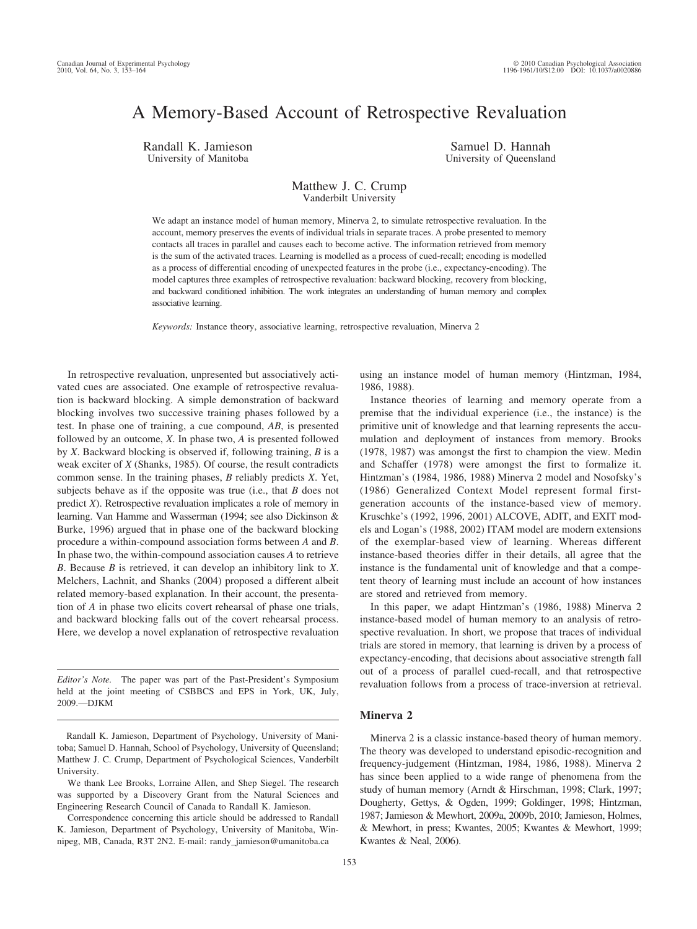# A Memory-Based Account of Retrospective Revaluation

Randall K. Jamieson University of Manitoba

Samuel D. Hannah University of Queensland

## Matthew J. C. Crump Vanderbilt University

We adapt an instance model of human memory, Minerva 2, to simulate retrospective revaluation. In the account, memory preserves the events of individual trials in separate traces. A probe presented to memory contacts all traces in parallel and causes each to become active. The information retrieved from memory is the sum of the activated traces. Learning is modelled as a process of cued-recall; encoding is modelled as a process of differential encoding of unexpected features in the probe (i.e., expectancy-encoding). The model captures three examples of retrospective revaluation: backward blocking, recovery from blocking, and backward conditioned inhibition. The work integrates an understanding of human memory and complex associative learning.

*Keywords:* Instance theory, associative learning, retrospective revaluation, Minerva 2

In retrospective revaluation, unpresented but associatively activated cues are associated. One example of retrospective revaluation is backward blocking. A simple demonstration of backward blocking involves two successive training phases followed by a test. In phase one of training, a cue compound, *AB*, is presented followed by an outcome, *X*. In phase two, *A* is presented followed by *X*. Backward blocking is observed if, following training, *B* is a weak exciter of *X* (Shanks, 1985). Of course, the result contradicts common sense. In the training phases, *B* reliably predicts *X*. Yet, subjects behave as if the opposite was true (i.e., that *B* does not predict *X*). Retrospective revaluation implicates a role of memory in learning. Van Hamme and Wasserman (1994; see also Dickinson & Burke, 1996) argued that in phase one of the backward blocking procedure a within-compound association forms between *A* and *B*. In phase two, the within-compound association causes *A* to retrieve *B*. Because *B* is retrieved, it can develop an inhibitory link to *X*. Melchers, Lachnit, and Shanks (2004) proposed a different albeit related memory-based explanation. In their account, the presentation of *A* in phase two elicits covert rehearsal of phase one trials, and backward blocking falls out of the covert rehearsal process. Here, we develop a novel explanation of retrospective revaluation

*Editor's Note.* The paper was part of the Past-President's Symposium held at the joint meeting of CSBBCS and EPS in York, UK, July, 2009.—DJKM

Randall K. Jamieson, Department of Psychology, University of Manitoba; Samuel D. Hannah, School of Psychology, University of Queensland; Matthew J. C. Crump, Department of Psychological Sciences, Vanderbilt University.

We thank Lee Brooks, Lorraine Allen, and Shep Siegel. The research was supported by a Discovery Grant from the Natural Sciences and Engineering Research Council of Canada to Randall K. Jamieson.

Correspondence concerning this article should be addressed to Randall K. Jamieson, Department of Psychology, University of Manitoba, Winnipeg, MB, Canada, R3T 2N2. E-mail: randy\_jamieson@umanitoba.ca

using an instance model of human memory (Hintzman, 1984, 1986, 1988).

Instance theories of learning and memory operate from a premise that the individual experience (i.e., the instance) is the primitive unit of knowledge and that learning represents the accumulation and deployment of instances from memory. Brooks (1978, 1987) was amongst the first to champion the view. Medin and Schaffer (1978) were amongst the first to formalize it. Hintzman's (1984, 1986, 1988) Minerva 2 model and Nosofsky's (1986) Generalized Context Model represent formal firstgeneration accounts of the instance-based view of memory. Kruschke's (1992, 1996, 2001) ALCOVE, ADIT, and EXIT models and Logan's (1988, 2002) ITAM model are modern extensions of the exemplar-based view of learning. Whereas different instance-based theories differ in their details, all agree that the instance is the fundamental unit of knowledge and that a competent theory of learning must include an account of how instances are stored and retrieved from memory.

In this paper, we adapt Hintzman's (1986, 1988) Minerva 2 instance-based model of human memory to an analysis of retrospective revaluation. In short, we propose that traces of individual trials are stored in memory, that learning is driven by a process of expectancy-encoding, that decisions about associative strength fall out of a process of parallel cued-recall, and that retrospective revaluation follows from a process of trace-inversion at retrieval.

#### **Minerva 2**

Minerva 2 is a classic instance-based theory of human memory. The theory was developed to understand episodic-recognition and frequency-judgement (Hintzman, 1984, 1986, 1988). Minerva 2 has since been applied to a wide range of phenomena from the study of human memory (Arndt & Hirschman, 1998; Clark, 1997; Dougherty, Gettys, & Ogden, 1999; Goldinger, 1998; Hintzman, 1987; Jamieson & Mewhort, 2009a, 2009b, 2010; Jamieson, Holmes, & Mewhort, in press; Kwantes, 2005; Kwantes & Mewhort, 1999; Kwantes & Neal, 2006).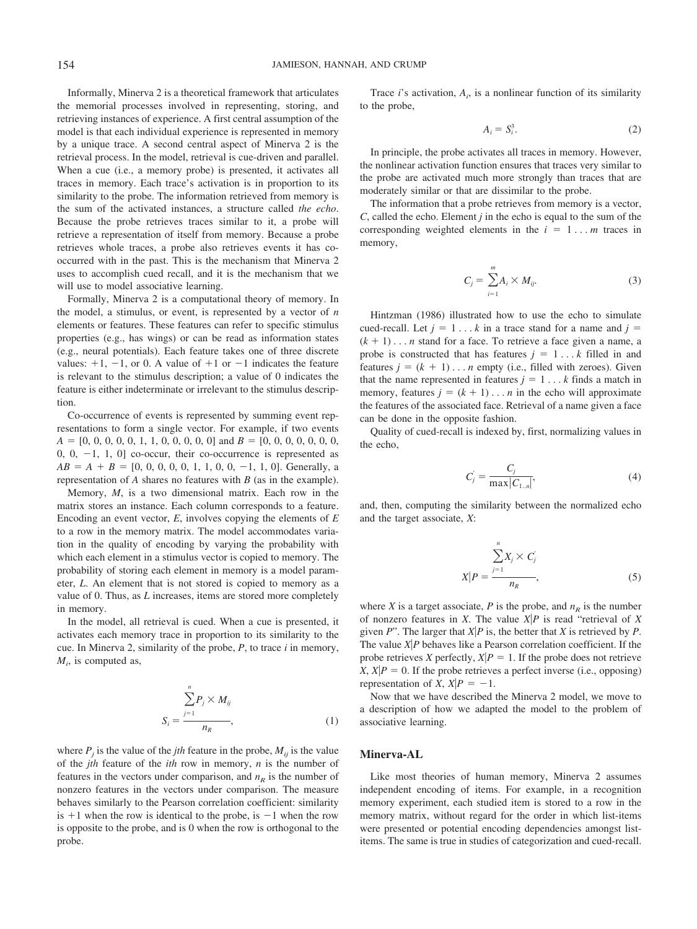Informally, Minerva 2 is a theoretical framework that articulates the memorial processes involved in representing, storing, and retrieving instances of experience. A first central assumption of the model is that each individual experience is represented in memory by a unique trace. A second central aspect of Minerva 2 is the retrieval process. In the model, retrieval is cue-driven and parallel. When a cue (i.e., a memory probe) is presented, it activates all traces in memory. Each trace's activation is in proportion to its similarity to the probe. The information retrieved from memory is the sum of the activated instances, a structure called *the echo*. Because the probe retrieves traces similar to it, a probe will retrieve a representation of itself from memory. Because a probe retrieves whole traces, a probe also retrieves events it has cooccurred with in the past. This is the mechanism that Minerva 2 uses to accomplish cued recall, and it is the mechanism that we will use to model associative learning.

Formally, Minerva 2 is a computational theory of memory. In the model, a stimulus, or event, is represented by a vector of *n* elements or features. These features can refer to specific stimulus properties (e.g., has wings) or can be read as information states (e.g., neural potentials). Each feature takes one of three discrete values:  $+1$ ,  $-1$ , or 0. A value of  $+1$  or  $-1$  indicates the feature is relevant to the stimulus description; a value of 0 indicates the feature is either indeterminate or irrelevant to the stimulus description.

Co-occurrence of events is represented by summing event representations to form a single vector. For example, if two events *A* # [0, 0, 0, 0, 0, 1, 1, 0, 0, 0, 0, 0] and *B* # [0, 0, 0, 0, 0, 0, 0, 0,  $0, -1, 1, 0$ ] co-occur, their co-occurrence is represented as  $AB = A + B = [0, 0, 0, 0, 0, 1, 1, 0, 0, -1, 1, 0]$ . Generally, a representation of *A* shares no features with *B* (as in the example).

Memory, *M*, is a two dimensional matrix. Each row in the matrix stores an instance. Each column corresponds to a feature. Encoding an event vector, *E*, involves copying the elements of *E* to a row in the memory matrix. The model accommodates variation in the quality of encoding by varying the probability with which each element in a stimulus vector is copied to memory. The probability of storing each element in memory is a model parameter, *L*. An element that is not stored is copied to memory as a value of 0. Thus, as *L* increases, items are stored more completely in memory.

In the model, all retrieval is cued. When a cue is presented, it activates each memory trace in proportion to its similarity to the cue. In Minerva 2, similarity of the probe, *P*, to trace *i* in memory,  $M_i$ , is computed as,

$$
S_i = \frac{\sum_{j=1}^n P_j \times M_{ij}}{n_R},
$$
\n(1)

where  $P_i$  is the value of the *jth* feature in the probe,  $M_{ij}$  is the value of the *jth* feature of the *ith* row in memory, *n* is the number of features in the vectors under comparison, and  $n<sub>R</sub>$  is the number of nonzero features in the vectors under comparison. The measure behaves similarly to the Pearson correlation coefficient: similarity is  $+1$  when the row is identical to the probe, is  $-1$  when the row is opposite to the probe, and is 0 when the row is orthogonal to the probe.

Trace  $i$ 's activation,  $A_i$ , is a nonlinear function of its similarity to the probe,

$$
A_i = S_i^3. \tag{2}
$$

In principle, the probe activates all traces in memory. However, the nonlinear activation function ensures that traces very similar to the probe are activated much more strongly than traces that are moderately similar or that are dissimilar to the probe.

The information that a probe retrieves from memory is a vector, *C*, called the echo. Element *j* in the echo is equal to the sum of the corresponding weighted elements in the  $i = 1... m$  traces in memory,

$$
C_j = \sum_{i=1}^{m} A_i \times M_{ij}.
$$
 (3)

Hintzman (1986) illustrated how to use the echo to simulate cued-recall. Let  $j = 1... k$  in a trace stand for a name and  $j =$  $(k + 1) \dots n$  stand for a face. To retrieve a face given a name, a probe is constructed that has features  $j = 1...k$  filled in and features  $j = (k + 1) \dots n$  empty (i.e., filled with zeroes). Given that the name represented in features  $j = 1... k$  finds a match in memory, features  $j = (k + 1) \dots n$  in the echo will approximate the features of the associated face. Retrieval of a name given a face can be done in the opposite fashion.

Quality of cued-recall is indexed by, first, normalizing values in the echo,

$$
C_j' = \frac{C_j}{\max|C_{1..n}|},\tag{4}
$$

and, then, computing the similarity between the normalized echo and the target associate, *X*:

$$
X|P = \frac{\sum_{j=1}^{n} X_j \times C_j'}{n_R},
$$
\n(5)

where *X* is a target associate, *P* is the probe, and  $n<sub>R</sub>$  is the number of nonzero features in *X*. The value  $X|P$  is read "retrieval of *X* given  $P$ ". The larger that  $X|P$  is, the better that  $X$  is retrieved by  $P$ . The value  $X$ <sup> $|P$ </sup> behaves like a Pearson correlation coefficient. If the probe retrieves *X* perfectly,  $X|P = 1$ . If the probe does not retrieve *X*,  $X|P = 0$ . If the probe retrieves a perfect inverse (i.e., opposing) representation of *X*,  $X|P = -1$ .

Now that we have described the Minerva 2 model, we move to a description of how we adapted the model to the problem of associative learning.

#### **Minerva-AL**

Like most theories of human memory, Minerva 2 assumes independent encoding of items. For example, in a recognition memory experiment, each studied item is stored to a row in the memory matrix, without regard for the order in which list-items were presented or potential encoding dependencies amongst listitems. The same is true in studies of categorization and cued-recall.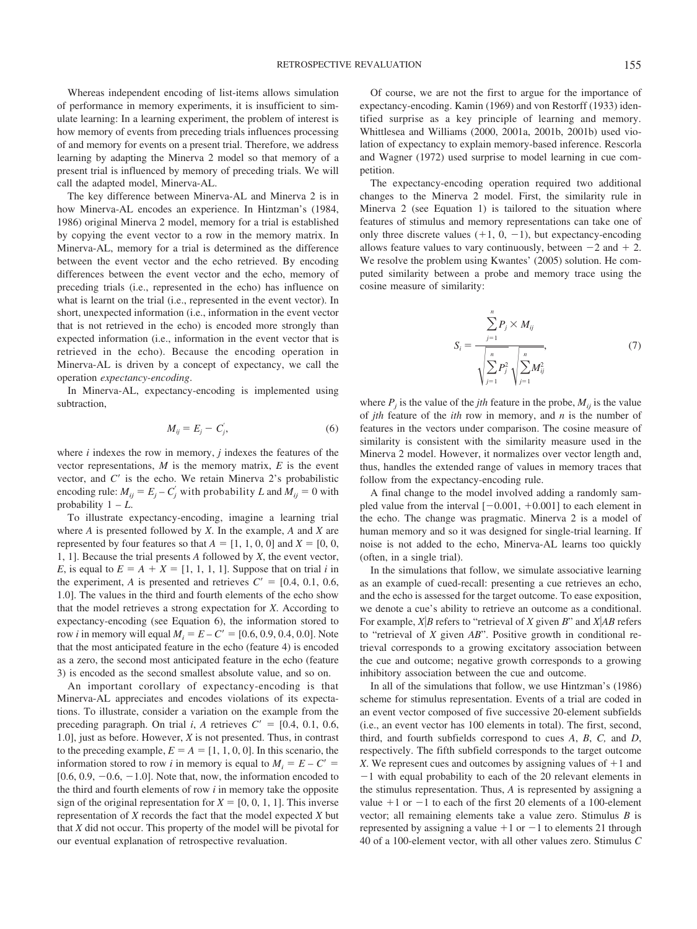Whereas independent encoding of list-items allows simulation of performance in memory experiments, it is insufficient to simulate learning: In a learning experiment, the problem of interest is how memory of events from preceding trials influences processing of and memory for events on a present trial. Therefore, we address learning by adapting the Minerva 2 model so that memory of a present trial is influenced by memory of preceding trials. We will call the adapted model, Minerva-AL.

The key difference between Minerva-AL and Minerva 2 is in how Minerva-AL encodes an experience. In Hintzman's (1984, 1986) original Minerva 2 model, memory for a trial is established by copying the event vector to a row in the memory matrix. In Minerva-AL, memory for a trial is determined as the difference between the event vector and the echo retrieved. By encoding differences between the event vector and the echo, memory of preceding trials (i.e., represented in the echo) has influence on what is learnt on the trial (i.e., represented in the event vector). In short, unexpected information (i.e., information in the event vector that is not retrieved in the echo) is encoded more strongly than expected information (i.e., information in the event vector that is retrieved in the echo). Because the encoding operation in Minerva-AL is driven by a concept of expectancy, we call the operation *expectancy-encoding*.

In Minerva-AL, expectancy-encoding is implemented using subtraction,

$$
M_{ij} = E_j - C'_j,\tag{6}
$$

where *i* indexes the row in memory, *j* indexes the features of the vector representations,  $M$  is the memory matrix,  $E$  is the event vector, and  $C'$  is the echo. We retain Minerva  $2$ 's probabilistic encoding rule:  $M_{ij} = E_j - C_j'$  with probability *L* and  $M_{ij} = 0$  with probability  $1 - L$ .

To illustrate expectancy-encoding, imagine a learning trial where *A* is presented followed by *X*. In the example, *A* and *X* are represented by four features so that  $A = [1, 1, 0, 0]$  and  $X = [0, 0, 0]$ 1, 1]. Because the trial presents *A* followed by *X*, the event vector, *E*, is equal to  $E = A + X = [1, 1, 1, 1]$ . Suppose that on trial *i* in the experiment, *A* is presented and retrieves  $C' = [0.4, 0.1, 0.6,$ 1.0]. The values in the third and fourth elements of the echo show that the model retrieves a strong expectation for *X*. According to expectancy-encoding (see Equation 6), the information stored to row *i* in memory will equal  $M_i = E - C' = [0.6, 0.9, 0.4, 0.0]$ . Note that the most anticipated feature in the echo (feature 4) is encoded as a zero, the second most anticipated feature in the echo (feature 3) is encoded as the second smallest absolute value, and so on.

An important corollary of expectancy-encoding is that Minerva-AL appreciates and encodes violations of its expectations. To illustrate, consider a variation on the example from the preceding paragraph. On trial *i*, *A* retrieves  $C' = [0.4, 0.1, 0.6,$ 1.0], just as before. However, *X* is not presented. Thus, in contrast to the preceding example,  $E = A = [1, 1, 0, 0]$ . In this scenario, the information stored to row *i* in memory is equal to  $M_i = E - C' =$  $[0.6, 0.9, -0.6, -1.0]$ . Note that, now, the information encoded to the third and fourth elements of row *i* in memory take the opposite sign of the original representation for  $X = [0, 0, 1, 1]$ . This inverse representation of *X* records the fact that the model expected *X* but that *X* did not occur. This property of the model will be pivotal for our eventual explanation of retrospective revaluation.

Of course, we are not the first to argue for the importance of expectancy-encoding. Kamin (1969) and von Restorff (1933) identified surprise as a key principle of learning and memory. Whittlesea and Williams (2000, 2001a, 2001b, 2001b) used violation of expectancy to explain memory-based inference. Rescorla and Wagner (1972) used surprise to model learning in cue competition.

The expectancy-encoding operation required two additional changes to the Minerva 2 model. First, the similarity rule in Minerva 2 (see Equation 1) is tailored to the situation where features of stimulus and memory representations can take one of only three discrete values  $(+1, 0, -1)$ , but expectancy-encoding allows feature values to vary continuously, between  $-2$  and  $+2$ . We resolve the problem using Kwantes' (2005) solution. He computed similarity between a probe and memory trace using the cosine measure of similarity:

$$
S_{i} = \frac{\sum_{j=1}^{n} P_{j} \times M_{ij}}{\sqrt{\sum_{j=1}^{n} P_{j}^{2}} \sqrt{\sum_{j=1}^{n} M_{ij}^{2}}},
$$
(7)

where  $P_i$  is the value of the *jth* feature in the probe,  $M_{ii}$  is the value of *jth* feature of the *ith* row in memory, and *n* is the number of features in the vectors under comparison. The cosine measure of similarity is consistent with the similarity measure used in the Minerva 2 model. However, it normalizes over vector length and, thus, handles the extended range of values in memory traces that follow from the expectancy-encoding rule.

A final change to the model involved adding a randomly sampled value from the interval  $[-0.001, +0.001]$  to each element in the echo. The change was pragmatic. Minerva 2 is a model of human memory and so it was designed for single-trial learning. If noise is not added to the echo, Minerva-AL learns too quickly (often, in a single trial).

In the simulations that follow, we simulate associative learning as an example of cued-recall: presenting a cue retrieves an echo, and the echo is assessed for the target outcome. To ease exposition, we denote a cue's ability to retrieve an outcome as a conditional. For example,  $X|B$  refers to "retrieval of  $X$  given  $B$ " and  $X|AB$  refers to "retrieval of *X* given *AB*". Positive growth in conditional retrieval corresponds to a growing excitatory association between the cue and outcome; negative growth corresponds to a growing inhibitory association between the cue and outcome.

In all of the simulations that follow, we use Hintzman's (1986) scheme for stimulus representation. Events of a trial are coded in an event vector composed of five successive 20-element subfields (i.e., an event vector has 100 elements in total). The first, second, third, and fourth subfields correspond to cues *A*, *B*, *C,* and *D*, respectively. The fifth subfield corresponds to the target outcome *X*. We represent cues and outcomes by assigning values of  $+1$  and  $-1$  with equal probability to each of the 20 relevant elements in the stimulus representation. Thus, *A* is represented by assigning a value  $+1$  or  $-1$  to each of the first 20 elements of a 100-element vector; all remaining elements take a value zero. Stimulus *B* is represented by assigning a value  $+1$  or  $-1$  to elements 21 through 40 of a 100-element vector, with all other values zero. Stimulus *C*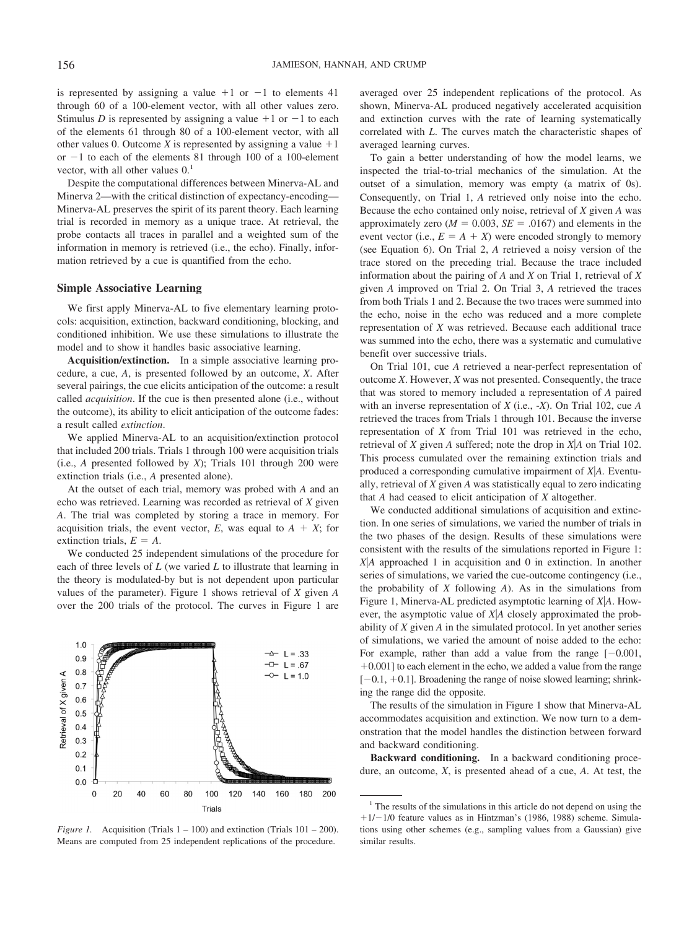is represented by assigning a value  $+1$  or  $-1$  to elements 41 through 60 of a 100-element vector, with all other values zero. Stimulus *D* is represented by assigning a value  $+1$  or  $-1$  to each of the elements 61 through 80 of a 100-element vector, with all other values 0. Outcome *X* is represented by assigning a value  $+1$ or  $-1$  to each of the elements 81 through 100 of a 100-element vector, with all other values  $0<sup>1</sup>$ 

Despite the computational differences between Minerva-AL and Minerva 2—with the critical distinction of expectancy-encoding— Minerva-AL preserves the spirit of its parent theory. Each learning trial is recorded in memory as a unique trace. At retrieval, the probe contacts all traces in parallel and a weighted sum of the information in memory is retrieved (i.e., the echo). Finally, information retrieved by a cue is quantified from the echo.

#### **Simple Associative Learning**

We first apply Minerva-AL to five elementary learning protocols: acquisition, extinction, backward conditioning, blocking, and conditioned inhibition. We use these simulations to illustrate the model and to show it handles basic associative learning.

**Acquisition/extinction.** In a simple associative learning procedure, a cue, *A*, is presented followed by an outcome, *X*. After several pairings, the cue elicits anticipation of the outcome: a result called *acquisition*. If the cue is then presented alone (i.e., without the outcome), its ability to elicit anticipation of the outcome fades: a result called *extinction*.

We applied Minerva-AL to an acquisition/extinction protocol that included 200 trials. Trials 1 through 100 were acquisition trials (i.e., *A* presented followed by *X*); Trials 101 through 200 were extinction trials (i.e., *A* presented alone).

At the outset of each trial, memory was probed with *A* and an echo was retrieved. Learning was recorded as retrieval of *X* given *A*. The trial was completed by storing a trace in memory. For acquisition trials, the event vector,  $E$ , was equal to  $A + X$ ; for extinction trials,  $E = A$ .

We conducted 25 independent simulations of the procedure for each of three levels of *L* (we varied *L* to illustrate that learning in the theory is modulated-by but is not dependent upon particular values of the parameter). Figure 1 shows retrieval of *X* given *A* over the 200 trials of the protocol. The curves in Figure 1 are



*Figure 1.* Acquisition (Trials  $1 - 100$ ) and extinction (Trials  $101 - 200$ ). Means are computed from 25 independent replications of the procedure.

averaged over 25 independent replications of the protocol. As shown, Minerva-AL produced negatively accelerated acquisition and extinction curves with the rate of learning systematically correlated with *L*. The curves match the characteristic shapes of averaged learning curves.

To gain a better understanding of how the model learns, we inspected the trial-to-trial mechanics of the simulation. At the outset of a simulation, memory was empty (a matrix of 0s). Consequently, on Trial 1, *A* retrieved only noise into the echo. Because the echo contained only noise, retrieval of *X* given *A* was approximately zero  $(M = 0.003, SE = .0167)$  and elements in the event vector (i.e.,  $E = A + X$ ) were encoded strongly to memory (see Equation 6). On Trial 2, *A* retrieved a noisy version of the trace stored on the preceding trial. Because the trace included information about the pairing of *A* and *X* on Trial 1, retrieval of *X* given *A* improved on Trial 2. On Trial 3, *A* retrieved the traces from both Trials 1 and 2. Because the two traces were summed into the echo, noise in the echo was reduced and a more complete representation of *X* was retrieved. Because each additional trace was summed into the echo, there was a systematic and cumulative benefit over successive trials.

On Trial 101, cue *A* retrieved a near-perfect representation of outcome *X*. However, *X* was not presented. Consequently, the trace that was stored to memory included a representation of *A* paired with an inverse representation of *X* (i.e., -*X*). On Trial 102, cue *A* retrieved the traces from Trials 1 through 101. Because the inverse representation of *X* from Trial 101 was retrieved in the echo, retrieval of *X* given *A* suffered; note the drop in *X*"*A* on Trial 102. This process cumulated over the remaining extinction trials and produced a corresponding cumulative impairment of *X*"*A.* Eventually, retrieval of *X* given *A* was statistically equal to zero indicating that *A* had ceased to elicit anticipation of *X* altogether.

We conducted additional simulations of acquisition and extinction. In one series of simulations, we varied the number of trials in the two phases of the design. Results of these simulations were consistent with the results of the simulations reported in Figure 1: *X*"*A* approached 1 in acquisition and 0 in extinction. In another series of simulations, we varied the cue-outcome contingency (i.e., the probability of *X* following *A*). As in the simulations from Figure 1, Minerva-AL predicted asymptotic learning of *X*"*A*. However, the asymptotic value of *X|A* closely approximated the probability of *X* given *A* in the simulated protocol. In yet another series of simulations, we varied the amount of noise added to the echo: For example, rather than add a value from the range  $[-0.001,$  $+0.001$ ] to each element in the echo, we added a value from the range  $[-0.1, +0.1]$ . Broadening the range of noise slowed learning; shrinking the range did the opposite.

The results of the simulation in Figure 1 show that Minerva-AL accommodates acquisition and extinction. We now turn to a demonstration that the model handles the distinction between forward and backward conditioning.

**Backward conditioning.** In a backward conditioning procedure, an outcome, *X*, is presented ahead of a cue, *A*. At test, the

<sup>&</sup>lt;sup>1</sup> The results of the simulations in this article do not depend on using the  $+1/-1/0$  feature values as in Hintzman's (1986, 1988) scheme. Simulations using other schemes (e.g., sampling values from a Gaussian) give similar results.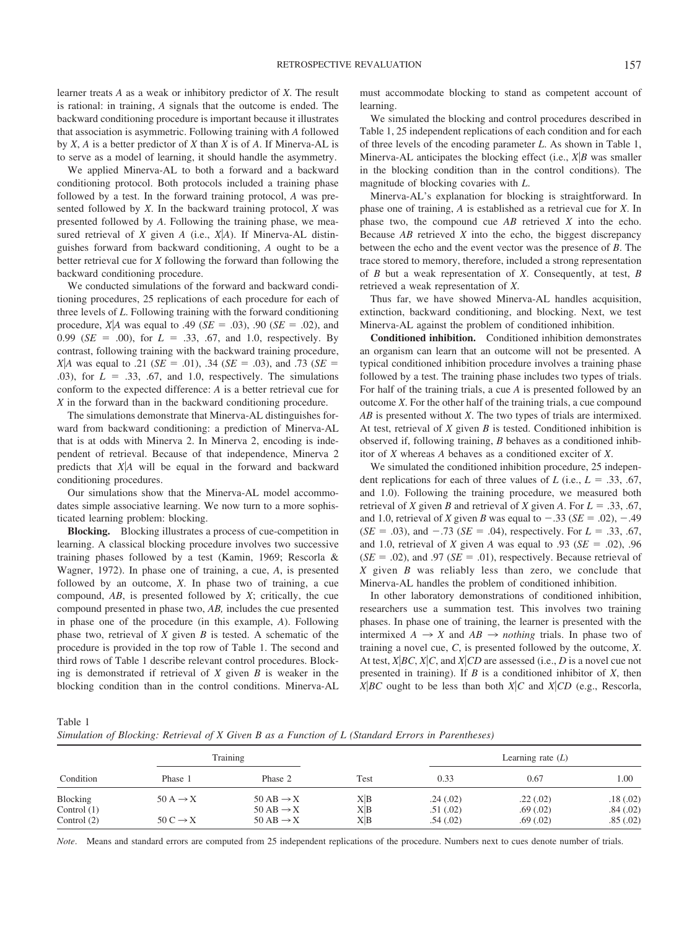learner treats *A* as a weak or inhibitory predictor of *X*. The result is rational: in training, *A* signals that the outcome is ended. The backward conditioning procedure is important because it illustrates that association is asymmetric. Following training with *A* followed by *X*, *A* is a better predictor of *X* than *X* is of *A*. If Minerva-AL is to serve as a model of learning, it should handle the asymmetry.

We applied Minerva-AL to both a forward and a backward conditioning protocol. Both protocols included a training phase followed by a test. In the forward training protocol, *A* was presented followed by *X*. In the backward training protocol, *X* was presented followed by *A*. Following the training phase, we measured retrieval of *X* given *A* (i.e., *X*"*A*). If Minerva-AL distinguishes forward from backward conditioning, *A* ought to be a better retrieval cue for *X* following the forward than following the backward conditioning procedure.

We conducted simulations of the forward and backward conditioning procedures, 25 replications of each procedure for each of three levels of *L*. Following training with the forward conditioning procedure, *X*|*A* was equal to .49 (*SE* = .03), .90 (*SE* = .02), and 0.99 ( $SE = .00$ ), for  $L = .33, .67,$  and 1.0, respectively. By contrast, following training with the backward training procedure, *X*|*A* was equal to .21 (*SE* = .01), .34 (*SE* = .03), and .73 (*SE* = .03), for  $L = .33, .67,$  and 1.0, respectively. The simulations conform to the expected difference: *A* is a better retrieval cue for *X* in the forward than in the backward conditioning procedure.

The simulations demonstrate that Minerva-AL distinguishes forward from backward conditioning: a prediction of Minerva-AL that is at odds with Minerva 2. In Minerva 2, encoding is independent of retrieval. Because of that independence, Minerva 2 predicts that *X*"*A* will be equal in the forward and backward conditioning procedures.

Our simulations show that the Minerva-AL model accommodates simple associative learning. We now turn to a more sophisticated learning problem: blocking.

**Blocking.** Blocking illustrates a process of cue-competition in learning. A classical blocking procedure involves two successive training phases followed by a test (Kamin, 1969; Rescorla & Wagner, 1972). In phase one of training, a cue, *A*, is presented followed by an outcome, *X*. In phase two of training, a cue compound, *AB*, is presented followed by *X*; critically, the cue compound presented in phase two, *AB,* includes the cue presented in phase one of the procedure (in this example, *A*). Following phase two, retrieval of *X* given *B* is tested. A schematic of the procedure is provided in the top row of Table 1. The second and third rows of Table 1 describe relevant control procedures. Blocking is demonstrated if retrieval of *X* given *B* is weaker in the blocking condition than in the control conditions. Minerva-AL must accommodate blocking to stand as competent account of learning.

We simulated the blocking and control procedures described in Table 1, 25 independent replications of each condition and for each of three levels of the encoding parameter *L*. As shown in Table 1, Minerva-AL anticipates the blocking effect (i.e.,  $X|B$  was smaller in the blocking condition than in the control conditions). The magnitude of blocking covaries with *L*.

Minerva-AL's explanation for blocking is straightforward. In phase one of training, *A* is established as a retrieval cue for *X*. In phase two, the compound cue *AB* retrieved *X* into the echo. Because *AB* retrieved *X* into the echo, the biggest discrepancy between the echo and the event vector was the presence of *B*. The trace stored to memory, therefore, included a strong representation of *B* but a weak representation of *X*. Consequently, at test, *B* retrieved a weak representation of *X*.

Thus far, we have showed Minerva-AL handles acquisition, extinction, backward conditioning, and blocking. Next, we test Minerva-AL against the problem of conditioned inhibition.

**Conditioned inhibition.** Conditioned inhibition demonstrates an organism can learn that an outcome will not be presented. A typical conditioned inhibition procedure involves a training phase followed by a test. The training phase includes two types of trials. For half of the training trials, a cue *A* is presented followed by an outcome *X*. For the other half of the training trials, a cue compound *AB* is presented without *X*. The two types of trials are intermixed. At test, retrieval of *X* given *B* is tested. Conditioned inhibition is observed if, following training, *B* behaves as a conditioned inhibitor of *X* whereas *A* behaves as a conditioned exciter of *X*.

We simulated the conditioned inhibition procedure, 25 independent replications for each of three values of *L* (i.e.,  $L = .33, .67$ , and 1.0). Following the training procedure, we measured both retrieval of *X* given *B* and retrieval of *X* given *A*. For  $L = .33, .67$ , and 1.0, retrieval of *X* given *B* was equal to  $-.33$  (*SE* = .02),  $-.49$  $(SE = .03)$ , and  $-.73$  (*SE* = .04), respectively. For *L* = .33, .67, and 1.0, retrieval of *X* given *A* was equal to .93 ( $SE = .02$ ), .96  $(SE = .02)$ , and .97 ( $SE = .01$ ), respectively. Because retrieval of *X* given *B* was reliably less than zero, we conclude that Minerva-AL handles the problem of conditioned inhibition.

In other laboratory demonstrations of conditioned inhibition, researchers use a summation test. This involves two training phases. In phase one of training, the learner is presented with the intermixed  $A \rightarrow X$  and  $AB \rightarrow \text{nothing}$  *nothing* trials. In phase two of training a novel cue, *C*, is presented followed by the outcome, *X*. At test,  $X|BC, X|C$ , and  $X|CD$  are assessed (i.e., *D* is a novel cue not presented in training). If *B* is a conditioned inhibitor of *X*, then *X*|*BC* ought to be less than both *X*|*C* and *X*|*CD* (e.g., Rescorla,

Table 1 *Simulation of Blocking: Retrieval of X Given B as a Function of L (Standard Errors in Parentheses)*

|                                            | Training                                     |                                                                                 |                   | Learning rate $(L)$              |                                  |                                  |
|--------------------------------------------|----------------------------------------------|---------------------------------------------------------------------------------|-------------------|----------------------------------|----------------------------------|----------------------------------|
| Condition                                  | Phase 1                                      | Phase 2                                                                         | Test              | 0.33                             | 0.67                             | 1.00                             |
| Blocking<br>Control $(1)$<br>Control $(2)$ | $50 A \rightarrow X$<br>$50 C \rightarrow X$ | $50 \text{ AB} \rightarrow X$<br>$50 AB \rightarrow X$<br>$50 AB \rightarrow X$ | X B<br>X B<br>X B | .24(.02)<br>.51(.02)<br>.54(.02) | .22(.02)<br>.69(.02)<br>.69(.02) | .18(.02)<br>.84(.02)<br>.85(.02) |

*Note*. Means and standard errors are computed from 25 independent replications of the procedure. Numbers next to cues denote number of trials.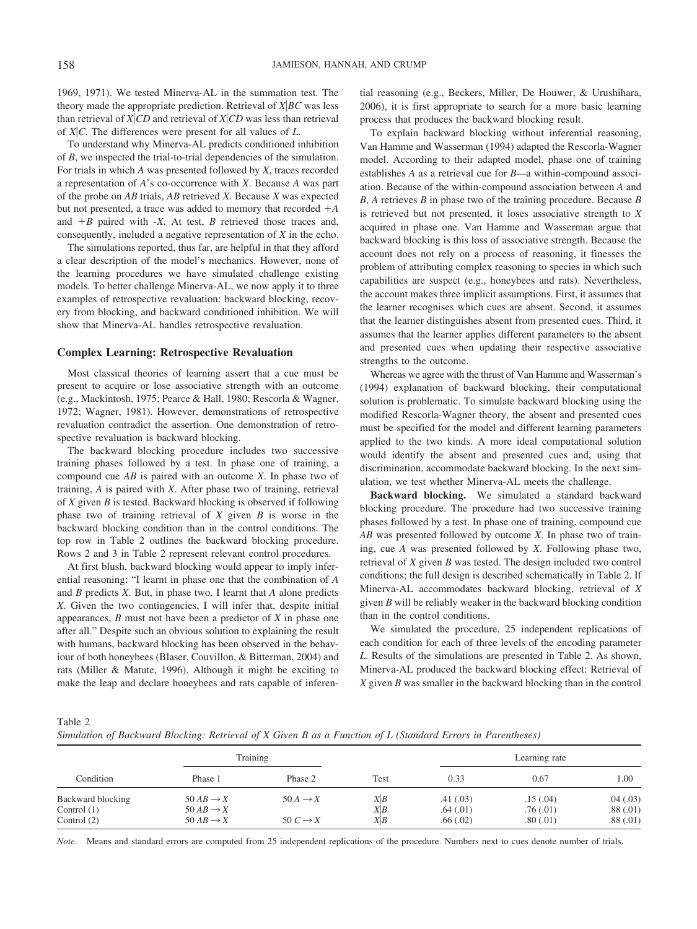1969, 1971). We tested Minerva-AL in the summation test. The theory made the appropriate prediction. Retrieval of *X*"*BC* was less than retrieval of  $X|CD$  and retrieval of  $X|CD$  was less than retrieval of *X*"*C*. The differences were present for all values of *L*.

To understand why Minerva-AL predicts conditioned inhibition of *B*, we inspected the trial-to-trial dependencies of the simulation. For trials in which *A* was presented followed by *X*, traces recorded a representation of *A*'s co-occurrence with *X*. Because *A* was part of the probe on *AB* trials, *AB* retrieved *X*. Because *X* was expected but not presented, a trace was added to memory that recorded  $+A$ and  $+B$  paired with  $-X$ . At test, *B* retrieved those traces and, consequently, included a negative representation of *X* in the echo.

The simulations reported, thus far, are helpful in that they afford a clear description of the model's mechanics. However, none of the learning procedures we have simulated challenge existing models. To better challenge Minerva-AL, we now apply it to three examples of retrospective revaluation: backward blocking, recovery from blocking, and backward conditioned inhibition. We will show that Minerva-AL handles retrospective revaluation.

#### **Complex Learning: Retrospective Revaluation**

Most classical theories of learning assert that a cue must be present to acquire or lose associative strength with an outcome (e.g., Mackintosh, 1975; Pearce & Hall, 1980; Rescorla & Wagner, 1972; Wagner, 1981). However, demonstrations of retrospective revaluation contradict the assertion. One demonstration of retrospective revaluation is backward blocking.

The backward blocking procedure includes two successive training phases followed by a test. In phase one of training, a compound cue *AB* is paired with an outcome *X*. In phase two of training, *A* is paired with *X*. After phase two of training, retrieval of *X* given *B* is tested. Backward blocking is observed if following phase two of training retrieval of *X* given *B* is worse in the backward blocking condition than in the control conditions. The top row in Table 2 outlines the backward blocking procedure. Rows 2 and 3 in Table 2 represent relevant control procedures.

At first blush, backward blocking would appear to imply inferential reasoning: "I learnt in phase one that the combination of *A* and *B* predicts *X*. But, in phase two, I learnt that *A* alone predicts *X*. Given the two contingencies, I will infer that, despite initial appearances, *B* must not have been a predictor of *X* in phase one after all." Despite such an obvious solution to explaining the result with humans, backward blocking has been observed in the behaviour of both honeybees (Blaser, Couvillon, & Bitterman, 2004) and rats (Miller & Matute, 1996). Although it might be exciting to make the leap and declare honeybees and rats capable of inferential reasoning (e.g., Beckers, Miller, De Houwer, & Urushihara, 2006), it is first appropriate to search for a more basic learning process that produces the backward blocking result.

To explain backward blocking without inferential reasoning, Van Hamme and Wasserman (1994) adapted the Rescorla-Wagner model. According to their adapted model, phase one of training establishes *A* as a retrieval cue for *B—*a within-compound association. Because of the within-compound association between *A* and *B*, *A* retrieves *B* in phase two of the training procedure. Because *B* is retrieved but not presented, it loses associative strength to *X* acquired in phase one. Van Hamme and Wasserman argue that backward blocking is this loss of associative strength. Because the account does not rely on a process of reasoning, it finesses the problem of attributing complex reasoning to species in which such capabilities are suspect (e.g., honeybees and rats). Nevertheless, the account makes three implicit assumptions. First, it assumes that the learner recognises which cues are absent. Second, it assumes that the learner distinguishes absent from presented cues. Third, it assumes that the learner applies different parameters to the absent and presented cues when updating their respective associative strengths to the outcome.

Whereas we agree with the thrust of Van Hamme and Wasserman's (1994) explanation of backward blocking, their computational solution is problematic. To simulate backward blocking using the modified Rescorla-Wagner theory, the absent and presented cues must be specified for the model and different learning parameters applied to the two kinds. A more ideal computational solution would identify the absent and presented cues and, using that discrimination, accommodate backward blocking. In the next simulation, we test whether Minerva-AL meets the challenge.

**Backward blocking.** We simulated a standard backward blocking procedure. The procedure had two successive training phases followed by a test. In phase one of training, compound cue *AB* was presented followed by outcome *X*. In phase two of training, cue *A* was presented followed by *X*. Following phase two, retrieval of *X* given *B* was tested. The design included two control conditions; the full design is described schematically in Table 2. If Minerva-AL accommodates backward blocking, retrieval of *X* given *B* will be reliably weaker in the backward blocking condition than in the control conditions.

We simulated the procedure, 25 independent replications of each condition for each of three levels of the encoding parameter *L*. Results of the simulations are presented in Table 2. As shown, Minerva-AL produced the backward blocking effect: Retrieval of *X* given *B* was smaller in the backward blocking than in the control

Table 2 *Simulation of Backward Blocking: Retrieval of X Given B as a Function of L (Standard Errors in Parentheses)*

|                                                     | Training                                                                |                                             |                   | Learning rate                     |                                  |                                  |
|-----------------------------------------------------|-------------------------------------------------------------------------|---------------------------------------------|-------------------|-----------------------------------|----------------------------------|----------------------------------|
| Condition                                           | Phase 1                                                                 | Phase 2                                     | Test              | 0.33                              | 0.67                             | 1.00                             |
| Backward blocking<br>Control $(1)$<br>Control $(2)$ | $50 AB \rightarrow X$<br>$50 AB \rightarrow X$<br>$50 AB \rightarrow X$ | $50A \rightarrow X$<br>50 $C \rightarrow X$ | X B<br>X B<br>X B | .41(0.03)<br>.64(.01)<br>.66(.02) | .15(.04)<br>.76(.01)<br>.80(.01) | .04(.03)<br>.88(.01)<br>.88(.01) |

*Note*. Means and standard errors are computed from 25 independent replications of the procedure. Numbers next to cues denote number of trials.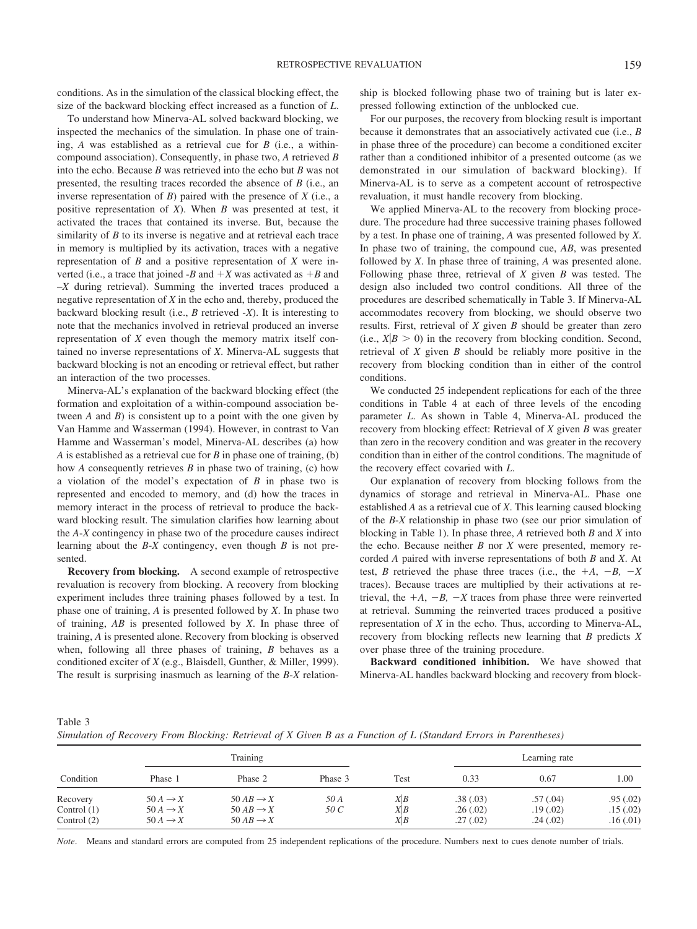conditions. As in the simulation of the classical blocking effect, the size of the backward blocking effect increased as a function of *L*.

To understand how Minerva-AL solved backward blocking, we inspected the mechanics of the simulation. In phase one of training, *A* was established as a retrieval cue for *B* (i.e., a withincompound association). Consequently, in phase two, *A* retrieved *B* into the echo. Because *B* was retrieved into the echo but *B* was not presented, the resulting traces recorded the absence of *B* (i.e., an inverse representation of *B*) paired with the presence of *X* (i.e., a positive representation of *X*). When *B* was presented at test, it activated the traces that contained its inverse. But, because the similarity of *B* to its inverse is negative and at retrieval each trace in memory is multiplied by its activation, traces with a negative representation of *B* and a positive representation of *X* were inverted (i.e., a trace that joined  $-B$  and  $+X$  was activated as  $+B$  and –*X* during retrieval). Summing the inverted traces produced a negative representation of *X* in the echo and, thereby, produced the backward blocking result (i.e., *B* retrieved -*X*). It is interesting to note that the mechanics involved in retrieval produced an inverse representation of *X* even though the memory matrix itself contained no inverse representations of *X*. Minerva-AL suggests that backward blocking is not an encoding or retrieval effect, but rather an interaction of the two processes.

Minerva-AL's explanation of the backward blocking effect (the formation and exploitation of a within-compound association between *A* and *B*) is consistent up to a point with the one given by Van Hamme and Wasserman (1994). However, in contrast to Van Hamme and Wasserman's model, Minerva-AL describes (a) how *A* is established as a retrieval cue for *B* in phase one of training, (b) how *A* consequently retrieves *B* in phase two of training, (c) how a violation of the model's expectation of *B* in phase two is represented and encoded to memory, and (d) how the traces in memory interact in the process of retrieval to produce the backward blocking result. The simulation clarifies how learning about the *A*-*X* contingency in phase two of the procedure causes indirect learning about the *B*-*X* contingency, even though *B* is not presented.

**Recovery from blocking.** A second example of retrospective revaluation is recovery from blocking. A recovery from blocking experiment includes three training phases followed by a test. In phase one of training, *A* is presented followed by *X*. In phase two of training, *AB* is presented followed by *X*. In phase three of training, *A* is presented alone. Recovery from blocking is observed when, following all three phases of training, *B* behaves as a conditioned exciter of *X* (e.g., Blaisdell, Gunther, & Miller, 1999). The result is surprising inasmuch as learning of the *B*-*X* relationship is blocked following phase two of training but is later expressed following extinction of the unblocked cue.

For our purposes, the recovery from blocking result is important because it demonstrates that an associatively activated cue (i.e., *B* in phase three of the procedure) can become a conditioned exciter rather than a conditioned inhibitor of a presented outcome (as we demonstrated in our simulation of backward blocking). If Minerva-AL is to serve as a competent account of retrospective revaluation, it must handle recovery from blocking.

We applied Minerva-AL to the recovery from blocking procedure. The procedure had three successive training phases followed by a test. In phase one of training, *A* was presented followed by *X*. In phase two of training, the compound cue, *AB*, was presented followed by *X*. In phase three of training, *A* was presented alone. Following phase three, retrieval of *X* given *B* was tested. The design also included two control conditions. All three of the procedures are described schematically in Table 3. If Minerva-AL accommodates recovery from blocking, we should observe two results. First, retrieval of *X* given *B* should be greater than zero (i.e.,  $X|B > 0$ ) in the recovery from blocking condition. Second, retrieval of *X* given *B* should be reliably more positive in the recovery from blocking condition than in either of the control conditions.

We conducted 25 independent replications for each of the three conditions in Table 4 at each of three levels of the encoding parameter *L*. As shown in Table 4, Minerva-AL produced the recovery from blocking effect: Retrieval of *X* given *B* was greater than zero in the recovery condition and was greater in the recovery condition than in either of the control conditions. The magnitude of the recovery effect covaried with *L*.

Our explanation of recovery from blocking follows from the dynamics of storage and retrieval in Minerva-AL. Phase one established *A* as a retrieval cue of *X*. This learning caused blocking of the *B*-*X* relationship in phase two (see our prior simulation of blocking in Table 1). In phase three, *A* retrieved both *B* and *X* into the echo. Because neither *B* nor *X* were presented, memory recorded *A* paired with inverse representations of both *B* and *X*. At test, *B* retrieved the phase three traces (i.e., the  $+A$ ,  $-B$ ,  $-X$ traces). Because traces are multiplied by their activations at retrieval, the  $+A$ ,  $-B$ ,  $-X$  traces from phase three were reinverted at retrieval. Summing the reinverted traces produced a positive representation of *X* in the echo. Thus, according to Minerva-AL, recovery from blocking reflects new learning that *B* predicts *X* over phase three of the training procedure.

**Backward conditioned inhibition.** We have showed that Minerva-AL handles backward blocking and recovery from block-

Table 3 *Simulation of Recovery From Blocking: Retrieval of X Given B as a Function of L (Standard Errors in Parentheses)*

|                                            | Training                                                          |                                                                         |              |                   | Learning rate                    |                                   |                                  |
|--------------------------------------------|-------------------------------------------------------------------|-------------------------------------------------------------------------|--------------|-------------------|----------------------------------|-----------------------------------|----------------------------------|
| Condition                                  | Phase 1                                                           | Phase 2                                                                 | Phase 3      | Test              | 0.33                             | 0.67                              | 1.00                             |
| Recovery<br>Control $(1)$<br>Control $(2)$ | $50A \rightarrow X$<br>$50A \rightarrow X$<br>$50A \rightarrow X$ | $50 AB \rightarrow X$<br>$50 AB \rightarrow X$<br>$50 AB \rightarrow X$ | 50 A<br>50 C | X B<br>X B<br>X B | .38(.03)<br>.26(.02)<br>.27(.02) | .57(.04)<br>.19(0.02)<br>.24(.02) | .95(.02)<br>.15(.02)<br>.16(.01) |

*Note*. Means and standard errors are computed from 25 independent replications of the procedure. Numbers next to cues denote number of trials.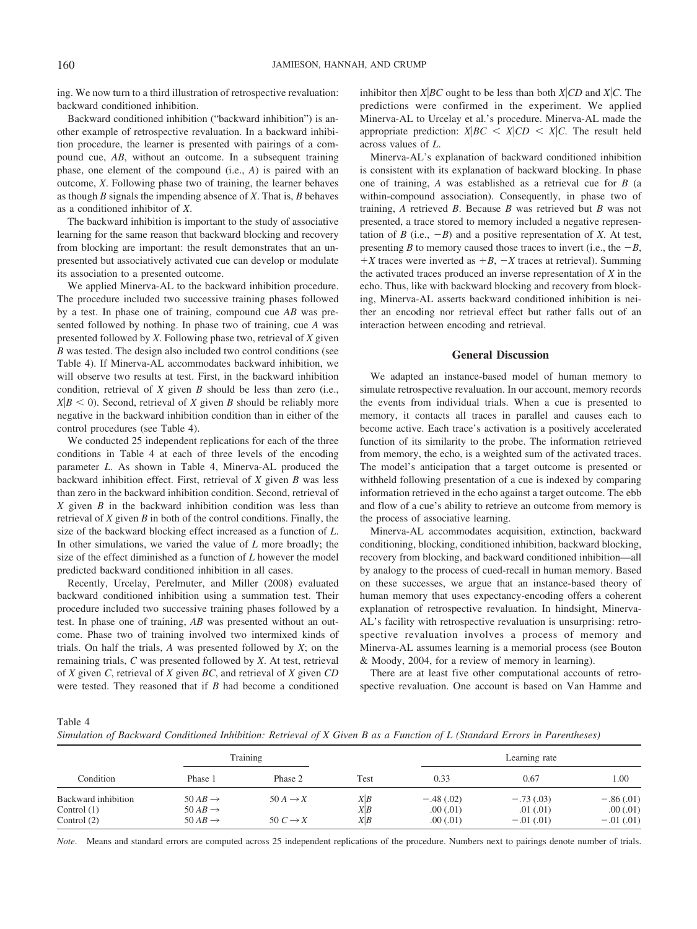ing. We now turn to a third illustration of retrospective revaluation: backward conditioned inhibition.

Backward conditioned inhibition ("backward inhibition") is another example of retrospective revaluation. In a backward inhibition procedure, the learner is presented with pairings of a compound cue, *AB*, without an outcome. In a subsequent training phase, one element of the compound (i.e., *A*) is paired with an outcome, *X*. Following phase two of training, the learner behaves as though *B* signals the impending absence of *X*. That is, *B* behaves as a conditioned inhibitor of *X*.

The backward inhibition is important to the study of associative learning for the same reason that backward blocking and recovery from blocking are important: the result demonstrates that an unpresented but associatively activated cue can develop or modulate its association to a presented outcome.

We applied Minerva-AL to the backward inhibition procedure. The procedure included two successive training phases followed by a test. In phase one of training, compound cue *AB* was presented followed by nothing. In phase two of training, cue *A* was presented followed by *X*. Following phase two, retrieval of *X* given *B* was tested. The design also included two control conditions (see Table 4). If Minerva-AL accommodates backward inhibition, we will observe two results at test. First, in the backward inhibition condition, retrieval of *X* given *B* should be less than zero (i.e.,  $X|B \leq 0$ ). Second, retrieval of *X* given *B* should be reliably more negative in the backward inhibition condition than in either of the control procedures (see Table 4).

We conducted 25 independent replications for each of the three conditions in Table 4 at each of three levels of the encoding parameter *L*. As shown in Table 4, Minerva-AL produced the backward inhibition effect. First, retrieval of *X* given *B* was less than zero in the backward inhibition condition. Second, retrieval of *X* given *B* in the backward inhibition condition was less than retrieval of *X* given *B* in both of the control conditions. Finally, the size of the backward blocking effect increased as a function of *L*. In other simulations, we varied the value of *L* more broadly; the size of the effect diminished as a function of *L* however the model predicted backward conditioned inhibition in all cases.

Recently, Urcelay, Perelmuter, and Miller (2008) evaluated backward conditioned inhibition using a summation test. Their procedure included two successive training phases followed by a test. In phase one of training, *AB* was presented without an outcome. Phase two of training involved two intermixed kinds of trials. On half the trials, *A* was presented followed by *X*; on the remaining trials, *C* was presented followed by *X*. At test, retrieval of *X* given *C*, retrieval of *X* given *BC*, and retrieval of *X* given *CD* were tested. They reasoned that if *B* had become a conditioned inhibitor then *X*<sup> $|BC$ </sup> ought to be less than both *X* $|CD$  and *X* $|C$ . The predictions were confirmed in the experiment. We applied Minerva-AL to Urcelay et al.'s procedure. Minerva-AL made the appropriate prediction:  $X|BC \leq X|CD \leq X|C$ . The result held across values of *L*.

Minerva-AL's explanation of backward conditioned inhibition is consistent with its explanation of backward blocking. In phase one of training, *A* was established as a retrieval cue for *B* (a within-compound association). Consequently, in phase two of training, *A* retrieved *B*. Because *B* was retrieved but *B* was not presented, a trace stored to memory included a negative representation of *B* (i.e.,  $-B$ ) and a positive representation of *X*. At test, presenting *B* to memory caused those traces to invert (i.e., the  $-B$ ,  $+X$  traces were inverted as  $+B$ ,  $-X$  traces at retrieval). Summing the activated traces produced an inverse representation of *X* in the echo. Thus, like with backward blocking and recovery from blocking, Minerva-AL asserts backward conditioned inhibition is neither an encoding nor retrieval effect but rather falls out of an interaction between encoding and retrieval.

#### **General Discussion**

We adapted an instance-based model of human memory to simulate retrospective revaluation. In our account, memory records the events from individual trials. When a cue is presented to memory, it contacts all traces in parallel and causes each to become active. Each trace's activation is a positively accelerated function of its similarity to the probe. The information retrieved from memory, the echo, is a weighted sum of the activated traces. The model's anticipation that a target outcome is presented or withheld following presentation of a cue is indexed by comparing information retrieved in the echo against a target outcome. The ebb and flow of a cue's ability to retrieve an outcome from memory is the process of associative learning.

Minerva-AL accommodates acquisition, extinction, backward conditioning, blocking, conditioned inhibition, backward blocking, recovery from blocking, and backward conditioned inhibition—all by analogy to the process of cued-recall in human memory. Based on these successes, we argue that an instance-based theory of human memory that uses expectancy-encoding offers a coherent explanation of retrospective revaluation. In hindsight, Minerva-AL's facility with retrospective revaluation is unsurprising: retrospective revaluation involves a process of memory and Minerva-AL assumes learning is a memorial process (see Bouton & Moody, 2004, for a review of memory in learning).

There are at least five other computational accounts of retrospective revaluation. One account is based on Van Hamme and

Table 4

*Simulation of Backward Conditioned Inhibition: Retrieval of X Given B as a Function of L (Standard Errors in Parentheses)*

|                                                       | Training                                                          |                                             |                   | Learning rate                         |                                         |                                        |
|-------------------------------------------------------|-------------------------------------------------------------------|---------------------------------------------|-------------------|---------------------------------------|-----------------------------------------|----------------------------------------|
| Condition                                             | Phase 1                                                           | Phase 2                                     | Test              | 0.33                                  | 0.67                                    | 1.00                                   |
| Backward inhibition<br>Control $(1)$<br>Control $(2)$ | $50 AB \rightarrow$<br>$50 AB \rightarrow$<br>$50 AB \rightarrow$ | $50A \rightarrow X$<br>$50 C \rightarrow X$ | X B<br>X B<br>X B | $-.48(.02)$<br>.00(0.01)<br>.00(0.01) | $-.73(.03)$<br>.01(0.01)<br>$-.01(.01)$ | $-.86(.01)$<br>.00(.01)<br>$-.01(.01)$ |

*Note*. Means and standard errors are computed across 25 independent replications of the procedure. Numbers next to pairings denote number of trials.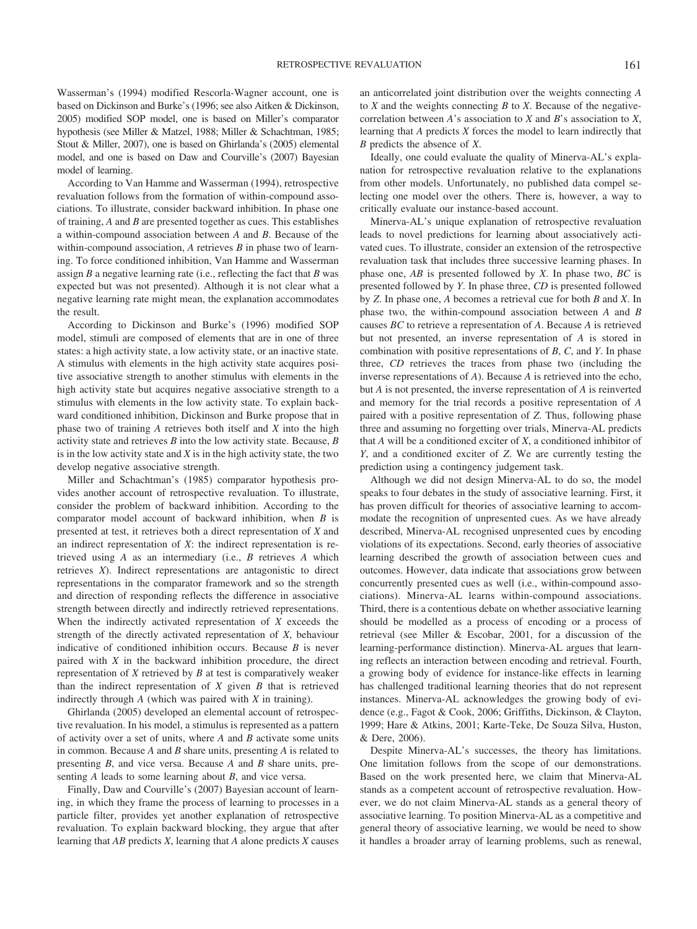Wasserman's (1994) modified Rescorla-Wagner account, one is based on Dickinson and Burke's (1996; see also Aitken & Dickinson, 2005) modified SOP model, one is based on Miller's comparator hypothesis (see Miller & Matzel, 1988; Miller & Schachtman, 1985; Stout & Miller, 2007), one is based on Ghirlanda's (2005) elemental model, and one is based on Daw and Courville's (2007) Bayesian model of learning.

According to Van Hamme and Wasserman (1994), retrospective revaluation follows from the formation of within-compound associations. To illustrate, consider backward inhibition. In phase one of training, *A* and *B* are presented together as cues. This establishes a within-compound association between *A* and *B*. Because of the within-compound association, *A* retrieves *B* in phase two of learning. To force conditioned inhibition, Van Hamme and Wasserman assign *B* a negative learning rate (i.e., reflecting the fact that *B* was expected but was not presented). Although it is not clear what a negative learning rate might mean, the explanation accommodates the result.

According to Dickinson and Burke's (1996) modified SOP model, stimuli are composed of elements that are in one of three states: a high activity state, a low activity state, or an inactive state. A stimulus with elements in the high activity state acquires positive associative strength to another stimulus with elements in the high activity state but acquires negative associative strength to a stimulus with elements in the low activity state. To explain backward conditioned inhibition, Dickinson and Burke propose that in phase two of training *A* retrieves both itself and *X* into the high activity state and retrieves *B* into the low activity state. Because, *B* is in the low activity state and *X* is in the high activity state, the two develop negative associative strength.

Miller and Schachtman's (1985) comparator hypothesis provides another account of retrospective revaluation. To illustrate, consider the problem of backward inhibition. According to the comparator model account of backward inhibition, when *B* is presented at test, it retrieves both a direct representation of *X* and an indirect representation of *X*: the indirect representation is retrieved using *A* as an intermediary (i.e., *B* retrieves *A* which retrieves *X*). Indirect representations are antagonistic to direct representations in the comparator framework and so the strength and direction of responding reflects the difference in associative strength between directly and indirectly retrieved representations. When the indirectly activated representation of *X* exceeds the strength of the directly activated representation of *X*, behaviour indicative of conditioned inhibition occurs. Because *B* is never paired with *X* in the backward inhibition procedure, the direct representation of *X* retrieved by *B* at test is comparatively weaker than the indirect representation of *X* given *B* that is retrieved indirectly through *A* (which was paired with *X* in training).

Ghirlanda (2005) developed an elemental account of retrospective revaluation. In his model, a stimulus is represented as a pattern of activity over a set of units, where *A* and *B* activate some units in common. Because *A* and *B* share units, presenting *A* is related to presenting *B*, and vice versa. Because *A* and *B* share units, presenting *A* leads to some learning about *B*, and vice versa.

Finally, Daw and Courville's (2007) Bayesian account of learning, in which they frame the process of learning to processes in a particle filter, provides yet another explanation of retrospective revaluation. To explain backward blocking, they argue that after learning that *AB* predicts *X*, learning that *A* alone predicts *X* causes an anticorrelated joint distribution over the weights connecting *A* to *X* and the weights connecting *B* to *X*. Because of the negativecorrelation between *A*'s association to *X* and *B*'s association to *X*, learning that *A* predicts *X* forces the model to learn indirectly that *B* predicts the absence of *X*.

Ideally, one could evaluate the quality of Minerva-AL's explanation for retrospective revaluation relative to the explanations from other models. Unfortunately, no published data compel selecting one model over the others. There is, however, a way to critically evaluate our instance-based account.

Minerva-AL's unique explanation of retrospective revaluation leads to novel predictions for learning about associatively activated cues. To illustrate, consider an extension of the retrospective revaluation task that includes three successive learning phases. In phase one, *AB* is presented followed by *X*. In phase two, *BC* is presented followed by *Y*. In phase three, *CD* is presented followed by *Z*. In phase one, *A* becomes a retrieval cue for both *B* and *X*. In phase two, the within-compound association between *A* and *B* causes *BC* to retrieve a representation of *A*. Because *A* is retrieved but not presented, an inverse representation of *A* is stored in combination with positive representations of *B*, *C*, and *Y*. In phase three, *CD* retrieves the traces from phase two (including the inverse representations of *A*). Because *A* is retrieved into the echo, but *A* is not presented, the inverse representation of *A* is reinverted and memory for the trial records a positive representation of *A* paired with a positive representation of *Z*. Thus, following phase three and assuming no forgetting over trials, Minerva-AL predicts that *A* will be a conditioned exciter of *X*, a conditioned inhibitor of *Y*, and a conditioned exciter of *Z*. We are currently testing the prediction using a contingency judgement task.

Although we did not design Minerva-AL to do so, the model speaks to four debates in the study of associative learning. First, it has proven difficult for theories of associative learning to accommodate the recognition of unpresented cues. As we have already described, Minerva-AL recognised unpresented cues by encoding violations of its expectations. Second, early theories of associative learning described the growth of association between cues and outcomes. However, data indicate that associations grow between concurrently presented cues as well (i.e., within-compound associations). Minerva-AL learns within-compound associations. Third, there is a contentious debate on whether associative learning should be modelled as a process of encoding or a process of retrieval (see Miller & Escobar, 2001, for a discussion of the learning-performance distinction). Minerva-AL argues that learning reflects an interaction between encoding and retrieval. Fourth, a growing body of evidence for instance-like effects in learning has challenged traditional learning theories that do not represent instances. Minerva-AL acknowledges the growing body of evidence (e.g., Fagot & Cook, 2006; Griffiths, Dickinson, & Clayton, 1999; Hare & Atkins, 2001; Karte-Teke, De Souza Silva, Huston, & Dere, 2006).

Despite Minerva-AL's successes, the theory has limitations. One limitation follows from the scope of our demonstrations. Based on the work presented here, we claim that Minerva-AL stands as a competent account of retrospective revaluation. However, we do not claim Minerva-AL stands as a general theory of associative learning. To position Minerva-AL as a competitive and general theory of associative learning, we would be need to show it handles a broader array of learning problems, such as renewal,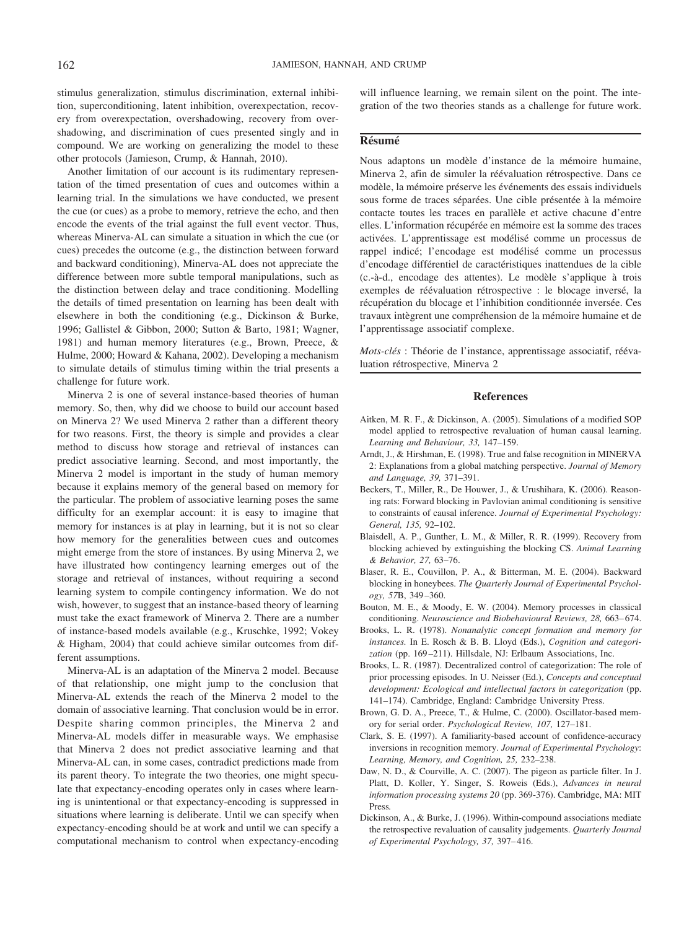stimulus generalization, stimulus discrimination, external inhibition, superconditioning, latent inhibition, overexpectation, recovery from overexpectation, overshadowing, recovery from overshadowing, and discrimination of cues presented singly and in compound. We are working on generalizing the model to these other protocols (Jamieson, Crump, & Hannah, 2010).

Another limitation of our account is its rudimentary representation of the timed presentation of cues and outcomes within a learning trial. In the simulations we have conducted, we present the cue (or cues) as a probe to memory, retrieve the echo, and then encode the events of the trial against the full event vector. Thus, whereas Minerva-AL can simulate a situation in which the cue (or cues) precedes the outcome (e.g., the distinction between forward and backward conditioning), Minerva-AL does not appreciate the difference between more subtle temporal manipulations, such as the distinction between delay and trace conditioning. Modelling the details of timed presentation on learning has been dealt with elsewhere in both the conditioning (e.g., Dickinson & Burke, 1996; Gallistel & Gibbon, 2000; Sutton & Barto, 1981; Wagner, 1981) and human memory literatures (e.g., Brown, Preece, & Hulme, 2000; Howard & Kahana, 2002). Developing a mechanism to simulate details of stimulus timing within the trial presents a challenge for future work.

Minerva 2 is one of several instance-based theories of human memory. So, then, why did we choose to build our account based on Minerva 2? We used Minerva 2 rather than a different theory for two reasons. First, the theory is simple and provides a clear method to discuss how storage and retrieval of instances can predict associative learning. Second, and most importantly, the Minerva 2 model is important in the study of human memory because it explains memory of the general based on memory for the particular. The problem of associative learning poses the same difficulty for an exemplar account: it is easy to imagine that memory for instances is at play in learning, but it is not so clear how memory for the generalities between cues and outcomes might emerge from the store of instances. By using Minerva 2, we have illustrated how contingency learning emerges out of the storage and retrieval of instances, without requiring a second learning system to compile contingency information. We do not wish, however, to suggest that an instance-based theory of learning must take the exact framework of Minerva 2. There are a number of instance-based models available (e.g., Kruschke, 1992; Vokey & Higham, 2004) that could achieve similar outcomes from different assumptions.

Minerva-AL is an adaptation of the Minerva 2 model. Because of that relationship, one might jump to the conclusion that Minerva-AL extends the reach of the Minerva 2 model to the domain of associative learning. That conclusion would be in error. Despite sharing common principles, the Minerva 2 and Minerva-AL models differ in measurable ways. We emphasise that Minerva 2 does not predict associative learning and that Minerva-AL can, in some cases, contradict predictions made from its parent theory. To integrate the two theories, one might speculate that expectancy-encoding operates only in cases where learning is unintentional or that expectancy-encoding is suppressed in situations where learning is deliberate. Until we can specify when expectancy-encoding should be at work and until we can specify a computational mechanism to control when expectancy-encoding will influence learning, we remain silent on the point. The integration of the two theories stands as a challenge for future work.

#### **Re´sume´**

Nous adaptons un modèle d'instance de la mémoire humaine, Minerva 2, afin de simuler la réévaluation rétrospective. Dans ce modèle, la mémoire préserve les événements des essais individuels sous forme de traces séparées. Une cible présentée à la mémoire contacte toutes les traces en parallèle et active chacune d'entre elles. L'information récupérée en mémoire est la somme des traces activées. L'apprentissage est modélisé comme un processus de rappel indicé; l'encodage est modélisé comme un processus d'encodage différentiel de caractéristiques inattendues de la cible (c.-à-d., encodage des attentes). Le modèle s'applique à trois exemples de réévaluation rétrospective : le blocage inversé, la récupération du blocage et l'inhibition conditionnée inversée. Ces travaux intègrent une compréhension de la mémoire humaine et de l'apprentissage associatif complexe.

*Mots-clés* : Théorie de l'instance, apprentissage associatif, réévaluation rétrospective, Minerva 2

#### **References**

- Aitken, M. R. F., & Dickinson, A. (2005). Simulations of a modified SOP model applied to retrospective revaluation of human causal learning. *Learning and Behaviour, 33,* 147–159.
- Arndt, J., & Hirshman, E. (1998). True and false recognition in MINERVA 2: Explanations from a global matching perspective. *Journal of Memory and Language, 39,* 371–391.
- Beckers, T., Miller, R., De Houwer, J., & Urushihara, K. (2006). Reasoning rats: Forward blocking in Pavlovian animal conditioning is sensitive to constraints of causal inference. *Journal of Experimental Psychology: General, 135,* 92–102.
- Blaisdell, A. P., Gunther, L. M., & Miller, R. R. (1999). Recovery from blocking achieved by extinguishing the blocking CS. *Animal Learning & Behavior, 27,* 63–76.
- Blaser, R. E., Couvillon, P. A., & Bitterman, M. E. (2004). Backward blocking in honeybees. *The Quarterly Journal of Experimental Psychology, 57*B, 349 –360.
- Bouton, M. E., & Moody, E. W. (2004). Memory processes in classical conditioning. *Neuroscience and Biobehavioural Reviews*, 28, 663-674.
- Brooks, L. R. (1978). *Nonanalytic concept formation and memory for instances.* In E. Rosch & B. B. Lloyd (Eds.), *Cognition and categori*zation (pp. 169-211). Hillsdale, NJ: Erlbaum Associations, Inc.
- Brooks, L. R. (1987). Decentralized control of categorization: The role of prior processing episodes. In U. Neisser (Ed.), *Concepts and conceptual development: Ecological and intellectual factors in categorization* (pp. 141–174). Cambridge, England: Cambridge University Press.
- Brown, G. D. A., Preece, T., & Hulme, C. (2000). Oscillator-based memory for serial order. *Psychological Review, 107,* 127–181.
- Clark, S. E. (1997). A familiarity-based account of confidence-accuracy inversions in recognition memory. *Journal of Experimental Psychology*: *Learning, Memory, and Cognition, 25,* 232–238.
- Daw, N. D., & Courville, A. C. (2007). The pigeon as particle filter. In J. Platt, D. Koller, Y. Singer, S. Roweis (Eds.), *Advances in neural information processing systems 20* (pp. 369-376). Cambridge, MA: MIT Press*.*
- Dickinson, A., & Burke, J. (1996). Within-compound associations mediate the retrospective revaluation of causality judgements. *Quarterly Journal of Experimental Psychology, 37,* 397– 416.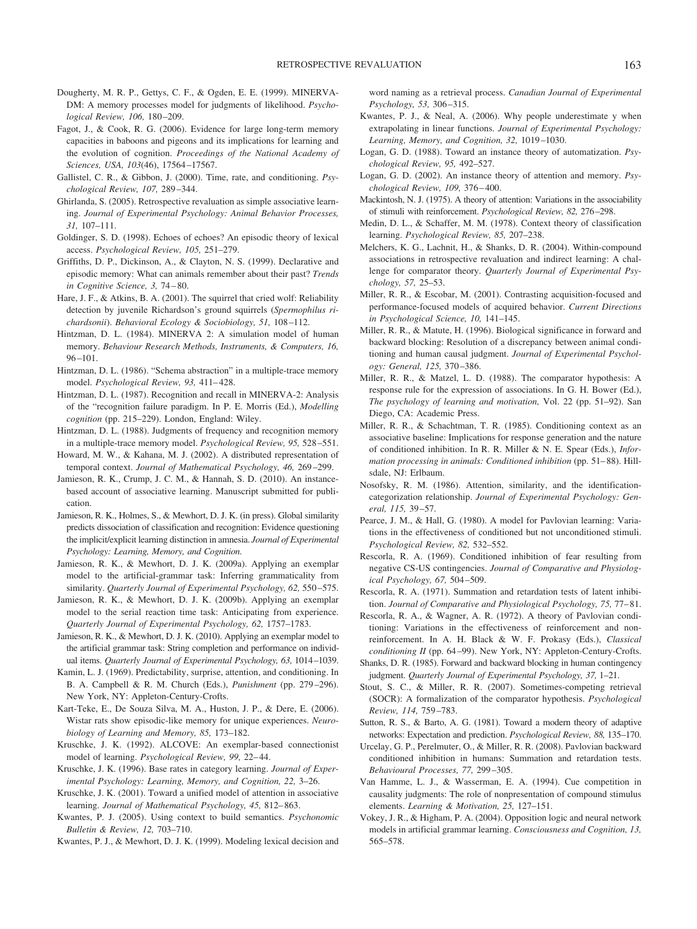- Dougherty, M. R. P., Gettys, C. F., & Ogden, E. E. (1999). MINERVA-DM: A memory processes model for judgments of likelihood. *Psychological Review, 106,* 180 –209.
- Fagot, J., & Cook, R. G. (2006). Evidence for large long-term memory capacities in baboons and pigeons and its implications for learning and the evolution of cognition. *Proceedings of the National Academy of Sciences, USA, 103*(46), 17564 –17567.
- Gallistel, C. R., & Gibbon, J. (2000). Time, rate, and conditioning. *Psychological Review, 107,* 289 –344.
- Ghirlanda, S. (2005). Retrospective revaluation as simple associative learning. *Journal of Experimental Psychology: Animal Behavior Processes, 31,* 107–111.
- Goldinger, S. D. (1998). Echoes of echoes? An episodic theory of lexical access. *Psychological Review, 105,* 251–279.
- Griffiths, D. P., Dickinson, A., & Clayton, N. S. (1999). Declarative and episodic memory: What can animals remember about their past? *Trends in Cognitive Science, 3,* 74 – 80.
- Hare, J. F., & Atkins, B. A. (2001). The squirrel that cried wolf: Reliability detection by juvenile Richardson's ground squirrels (*Spermophilus richardsonii*). *Behavioral Ecology & Sociobiology, 51,* 108 –112.
- Hintzman, D. L. (1984). MINERVA 2: A simulation model of human memory. *Behaviour Research Methods, Instruments, & Computers, 16,* 96 –101.
- Hintzman, D. L. (1986). "Schema abstraction" in a multiple-trace memory model. *Psychological Review, 93,* 411– 428.
- Hintzman, D. L. (1987). Recognition and recall in MINERVA-2: Analysis of the "recognition failure paradigm. In P. E. Morris (Ed.), *Modelling cognition* (pp. 215–229). London, England: Wiley.
- Hintzman, D. L. (1988). Judgments of frequency and recognition memory in a multiple-trace memory model. *Psychological Review, 95,* 528 –551.
- Howard, M. W., & Kahana, M. J. (2002). A distributed representation of temporal context. *Journal of Mathematical Psychology, 46,* 269 –299.
- Jamieson, R. K., Crump, J. C. M., & Hannah, S. D. (2010). An instancebased account of associative learning. Manuscript submitted for publication.
- Jamieson, R. K., Holmes, S., & Mewhort, D. J. K. (in press). Global similarity predicts dissociation of classification and recognition: Evidence questioning the implicit/explicit learning distinction in amnesia. *Journal of Experimental Psychology: Learning, Memory, and Cognition.*
- Jamieson, R. K., & Mewhort, D. J. K. (2009a). Applying an exemplar model to the artificial-grammar task: Inferring grammaticality from similarity. *Quarterly Journal of Experimental Psychology, 62,* 550 –575.
- Jamieson, R. K., & Mewhort, D. J. K. (2009b). Applying an exemplar model to the serial reaction time task: Anticipating from experience. *Quarterly Journal of Experimental Psychology, 62,* 1757–1783.
- Jamieson, R. K., & Mewhort, D. J. K. (2010). Applying an exemplar model to the artificial grammar task: String completion and performance on individual items. *Quarterly Journal of Experimental Psychology, 63,* 1014 –1039.
- Kamin, L. J. (1969). Predictability, surprise, attention, and conditioning. In B. A. Campbell & R. M. Church (Eds.), *Punishment* (pp. 279 –296). New York, NY: Appleton-Century-Crofts.
- Kart-Teke, E., De Souza Silva, M. A., Huston, J. P., & Dere, E. (2006). Wistar rats show episodic-like memory for unique experiences. *Neurobiology of Learning and Memory, 85,* 173–182.
- Kruschke, J. K. (1992). ALCOVE: An exemplar-based connectionist model of learning. *Psychological Review, 99,* 22– 44.
- Kruschke, J. K. (1996). Base rates in category learning. *Journal of Experimental Psychology: Learning, Memory, and Cognition, 22,* 3–26.
- Kruschke, J. K. (2001). Toward a unified model of attention in associative learning. *Journal of Mathematical Psychology, 45,* 812– 863.
- Kwantes, P. J. (2005). Using context to build semantics. *Psychonomic Bulletin & Review, 12,* 703–710.
- Kwantes, P. J., & Mewhort, D. J. K. (1999). Modeling lexical decision and

word naming as a retrieval process. *Canadian Journal of Experimental Psychology, 53,* 306 –315.

- Kwantes, P. J., & Neal, A. (2006). Why people underestimate y when extrapolating in linear functions. *Journal of Experimental Psychology: Learning, Memory, and Cognition, 32,* 1019 –1030.
- Logan, G. D. (1988). Toward an instance theory of automatization. *Psychological Review, 95,* 492–527.
- Logan, G. D. (2002). An instance theory of attention and memory. *Psychological Review, 109,* 376 – 400.
- Mackintosh, N. J. (1975). A theory of attention: Variations in the associability of stimuli with reinforcement. *Psychological Review, 82,* 276 –298.
- Medin, D. L., & Schaffer, M. M. (1978). Context theory of classification learning. *Psychological Review, 85,* 207–238.
- Melchers, K. G., Lachnit, H., & Shanks, D. R. (2004). Within-compound associations in retrospective revaluation and indirect learning: A challenge for comparator theory. *Quarterly Journal of Experimental Psychology, 57,* 25–53.
- Miller, R. R., & Escobar, M. (2001). Contrasting acquisition-focused and performance-focused models of acquired behavior. *Current Directions in Psychological Science, 10,* 141–145.
- Miller, R. R., & Matute, H. (1996). Biological significance in forward and backward blocking: Resolution of a discrepancy between animal conditioning and human causal judgment. *Journal of Experimental Psychology: General, 125,* 370 –386.
- Miller, R. R., & Matzel, L. D. (1988). The comparator hypothesis: A response rule for the expression of associations. In G. H. Bower (Ed.), *The psychology of learning and motivation,* Vol. 22 (pp. 51–92). San Diego, CA: Academic Press.
- Miller, R. R., & Schachtman, T. R. (1985). Conditioning context as an associative baseline: Implications for response generation and the nature of conditioned inhibition. In R. R. Miller & N. E. Spear (Eds.), *Information processing in animals: Conditioned inhibition* (pp. 51– 88). Hillsdale, NJ: Erlbaum.
- Nosofsky, R. M. (1986). Attention, similarity, and the identificationcategorization relationship. *Journal of Experimental Psychology: General, 115,* 39 –57.
- Pearce, J. M., & Hall, G. (1980). A model for Pavlovian learning: Variations in the effectiveness of conditioned but not unconditioned stimuli. *Psychological Review, 82,* 532–552.
- Rescorla, R. A. (1969). Conditioned inhibition of fear resulting from negative CS-US contingencies. *Journal of Comparative and Physiological Psychology, 67,* 504 –509.
- Rescorla, R. A. (1971). Summation and retardation tests of latent inhibition. *Journal of Comparative and Physiological Psychology, 75,* 77– 81.
- Rescorla, R. A., & Wagner, A. R. (1972). A theory of Pavlovian conditioning: Variations in the effectiveness of reinforcement and nonreinforcement. In A. H. Black & W. F. Prokasy (Eds.), *Classical conditioning II* (pp. 64 –99). New York, NY: Appleton-Century-Crofts.
- Shanks, D. R. (1985). Forward and backward blocking in human contingency judgment. *Quarterly Journal of Experimental Psychology, 37,* 1–21.
- Stout, S. C., & Miller, R. R. (2007). Sometimes-competing retrieval (SOCR): A formalization of the comparator hypothesis. *Psychological Review, 114,* 759 –783.
- Sutton, R. S., & Barto, A. G. (1981). Toward a modern theory of adaptive networks: Expectation and prediction. *Psychological Review, 88,* 135–170.
- Urcelay, G. P., Perelmuter, O., & Miller, R. R. (2008). Pavlovian backward conditioned inhibition in humans: Summation and retardation tests. *Behavioural Processes, 77,* 299 –305.
- Van Hamme, L. J., & Wasserman, E. A. (1994). Cue competition in causality judgments: The role of nonpresentation of compound stimulus elements. *Learning & Motivation, 25,* 127–151.
- Vokey, J. R., & Higham, P. A. (2004). Opposition logic and neural network models in artificial grammar learning. *Consciousness and Cognition, 13,* 565–578.